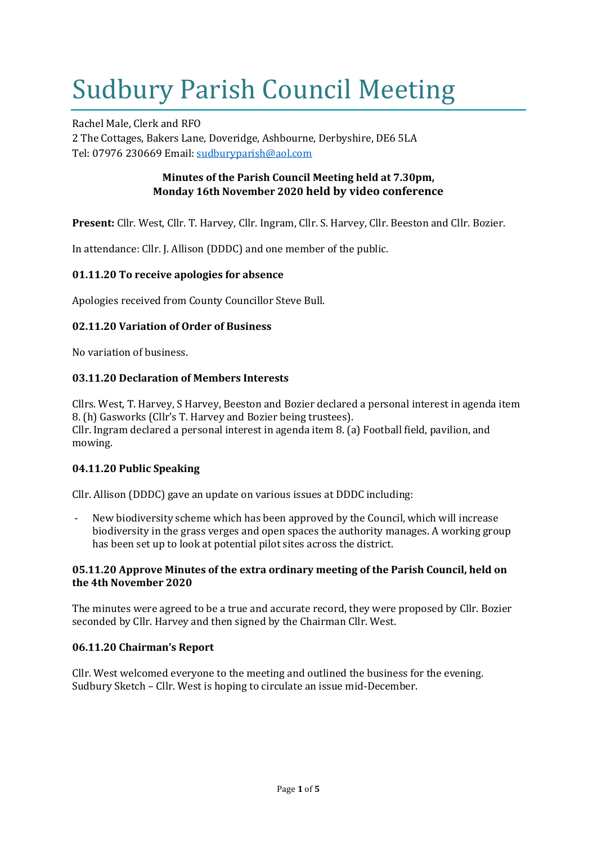# Sudbury Parish Council Meeting

Rachel Male, Clerk and RFO 2 The Cottages, Bakers Lane, Doveridge, Ashbourne, Derbyshire, DE6 5LA Tel: 07976 230669 Email: [sudburyparish@aol.com](mailto:sudburyparish@aol.com)

# **Minutes of the Parish Council Meeting held at 7.30pm, Monday 16th November 2020 held by video conference**

**Present:** Cllr. West, Cllr. T. Harvey, Cllr. Ingram, Cllr. S. Harvey, Cllr. Beeston and Cllr. Bozier.

In attendance: Cllr. J. Allison (DDDC) and one member of the public.

## **01.11.20 To receive apologies for absence**

Apologies received from County Councillor Steve Bull.

## **02.11.20 Variation of Order of Business**

No variation of business.

## **03.11.20 Declaration of Members Interests**

Cllrs. West, T. Harvey, S Harvey, Beeston and Bozier declared a personal interest in agenda item 8. (h) Gasworks (Cllr's T. Harvey and Bozier being trustees). Cllr. Ingram declared a personal interest in agenda item 8. (a) Football field, pavilion, and mowing.

## **04.11.20 Public Speaking**

Cllr. Allison (DDDC) gave an update on various issues at DDDC including:

New biodiversity scheme which has been approved by the Council, which will increase biodiversity in the grass verges and open spaces the authority manages. A working group has been set up to look at potential pilot sites across the district.

## **05.11.20 Approve Minutes of the extra ordinary meeting of the Parish Council, held on the 4th November 2020**

The minutes were agreed to be a true and accurate record, they were proposed by Cllr. Bozier seconded by Cllr. Harvey and then signed by the Chairman Cllr. West.

## **06.11.20 Chairman's Report**

Cllr. West welcomed everyone to the meeting and outlined the business for the evening. Sudbury Sketch – Cllr. West is hoping to circulate an issue mid-December.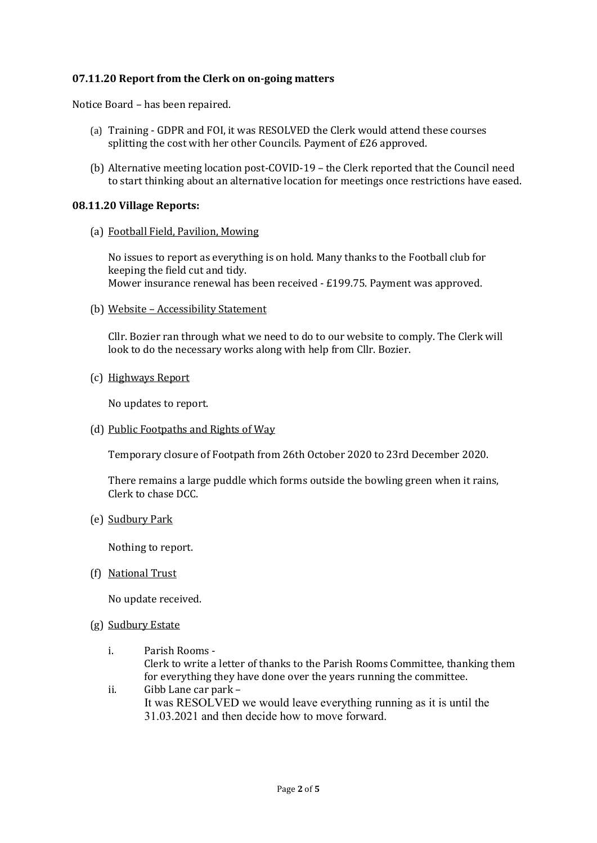## **07.11.20 Report from the Clerk on on-going matters**

Notice Board – has been repaired.

- (a) Training GDPR and FOI, it was RESOLVED the Clerk would attend these courses splitting the cost with her other Councils. Payment of £26 approved.
- (b) Alternative meeting location post-COVID-19 the Clerk reported that the Council need to start thinking about an alternative location for meetings once restrictions have eased.

#### **08.11.20 Village Reports:**

(a) Football Field, Pavilion, Mowing

No issues to report as everything is on hold. Many thanks to the Football club for keeping the field cut and tidy. Mower insurance renewal has been received - £199.75. Payment was approved.

(b) Website – Accessibility Statement

Cllr. Bozier ran through what we need to do to our website to comply. The Clerk will look to do the necessary works along with help from Cllr. Bozier.

(c) Highways Report

No updates to report.

(d) Public Footpaths and Rights of Way

Temporary closure of Footpath from 26th October 2020 to 23rd December 2020.

There remains a large puddle which forms outside the bowling green when it rains, Clerk to chase DCC.

(e) Sudbury Park

Nothing to report.

(f) National Trust

No update received.

- (g) Sudbury Estate
	- i. Parish Rooms Clerk to write a letter of thanks to the Parish Rooms Committee, thanking them for everything they have done over the years running the committee.
	- ii. Gibb Lane car park It was RESOLVED we would leave everything running as it is until the 31.03.2021 and then decide how to move forward.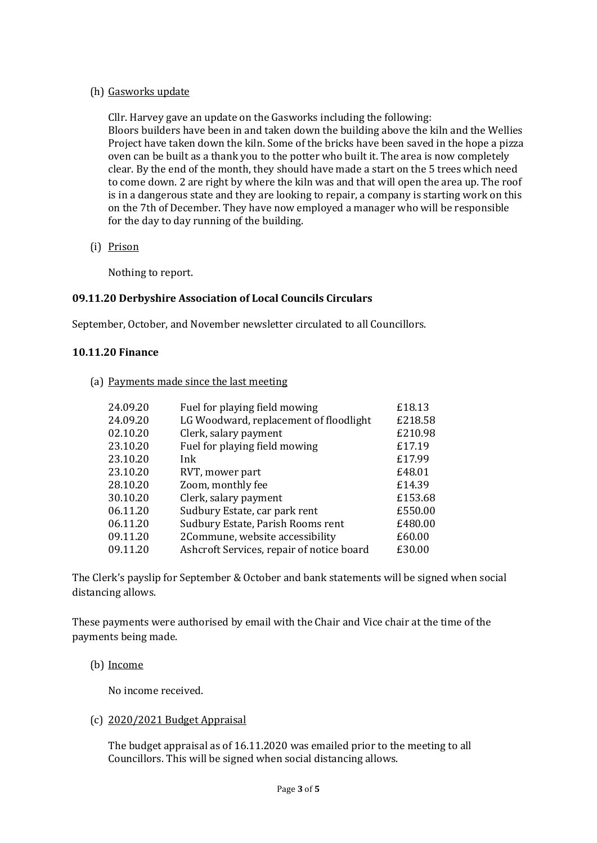## (h) Gasworks update

Cllr. Harvey gave an update on the Gasworks including the following: Bloors builders have been in and taken down the building above the kiln and the Wellies Project have taken down the kiln. Some of the bricks have been saved in the hope a pizza oven can be built as a thank you to the potter who built it. The area is now completely clear. By the end of the month, they should have made a start on the 5 trees which need to come down. 2 are right by where the kiln was and that will open the area up. The roof is in a dangerous state and they are looking to repair, a company is starting work on this on the 7th of December. They have now employed a manager who will be responsible for the day to day running of the building.

(i) Prison

Nothing to report.

## **09.11.20 Derbyshire Association of Local Councils Circulars**

September, October, and November newsletter circulated to all Councillors.

## **10.11.20 Finance**

(a) Payments made since the last meeting

| 24.09.20 | Fuel for playing field mowing             | £18.13  |
|----------|-------------------------------------------|---------|
| 24.09.20 | LG Woodward, replacement of floodlight    | £218.58 |
| 02.10.20 | Clerk, salary payment                     | £210.98 |
| 23.10.20 | Fuel for playing field mowing             | £17.19  |
| 23.10.20 | Ink                                       | £17.99  |
| 23.10.20 | RVT, mower part                           | £48.01  |
| 28.10.20 | Zoom, monthly fee                         | £14.39  |
| 30.10.20 | Clerk, salary payment                     | £153.68 |
| 06.11.20 | Sudbury Estate, car park rent             | £550.00 |
| 06.11.20 | Sudbury Estate, Parish Rooms rent         | £480.00 |
| 09.11.20 | 2Commune, website accessibility           | £60.00  |
| 09.11.20 | Ashcroft Services, repair of notice board | £30.00  |
|          |                                           |         |

The Clerk's payslip for September & October and bank statements will be signed when social distancing allows.

These payments were authorised by email with the Chair and Vice chair at the time of the payments being made.

## (b) Income

No income received.

## (c) 2020/2021 Budget Appraisal

The budget appraisal as of 16.11.2020 was emailed prior to the meeting to all Councillors. This will be signed when social distancing allows.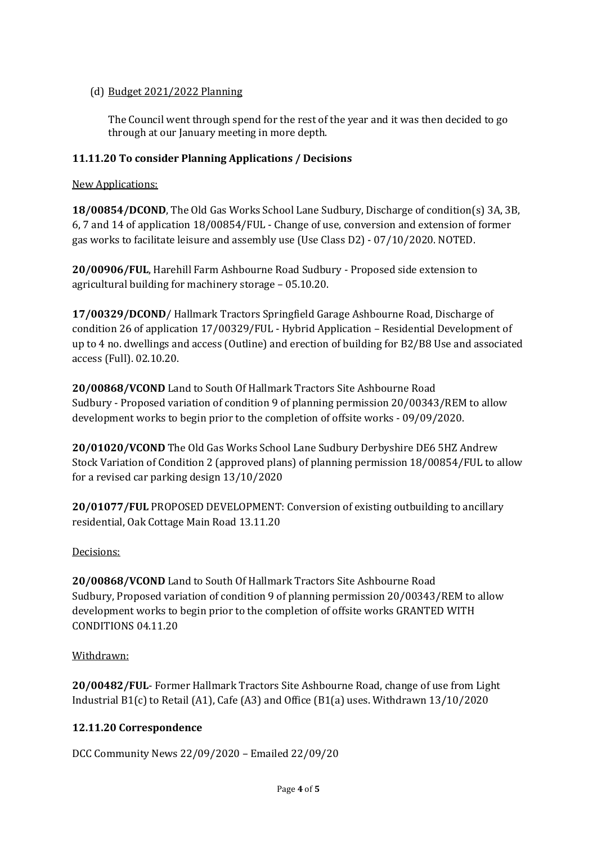# (d) Budget 2021/2022 Planning

The Council went through spend for the rest of the year and it was then decided to go through at our January meeting in more depth.

# **11.11.20 To consider Planning Applications / Decisions**

New Applications:

**18/00854/DCOND**, The Old Gas Works School Lane Sudbury, Discharge of condition(s) 3A, 3B, 6, 7 and 14 of application 18/00854/FUL - Change of use, conversion and extension of former gas works to facilitate leisure and assembly use (Use Class D2) - 07/10/2020. NOTED.

**20/00906/FUL**, Harehill Farm Ashbourne Road Sudbury - Proposed side extension to agricultural building for machinery storage – 05.10.20.

**17/00329/DCOND**/ Hallmark Tractors Springfield Garage Ashbourne Road, Discharge of condition 26 of application 17/00329/FUL - Hybrid Application – Residential Development of up to 4 no. dwellings and access (Outline) and erection of building for B2/B8 Use and associated access (Full). 02.10.20.

**20/00868/VCOND** Land to South Of Hallmark Tractors Site Ashbourne Road Sudbury - Proposed variation of condition 9 of planning permission 20/00343/REM to allow development works to begin prior to the completion of offsite works - 09/09/2020.

**20/01020/VCOND** The Old Gas Works School Lane Sudbury Derbyshire DE6 5HZ Andrew Stock Variation of Condition 2 (approved plans) of planning permission 18/00854/FUL to allow for a revised car parking design 13/10/2020

**20/01077/FUL** PROPOSED DEVELOPMENT: Conversion of existing outbuilding to ancillary residential, Oak Cottage Main Road 13.11.20

# Decisions:

**20/00868/VCOND** Land to South Of Hallmark Tractors Site Ashbourne Road Sudbury, Proposed variation of condition 9 of planning permission 20/00343/REM to allow development works to begin prior to the completion of offsite works GRANTED WITH CONDITIONS 04.11.20

## Withdrawn:

**20/00482/FUL**- Former Hallmark Tractors Site Ashbourne Road, change of use from Light Industrial B1(c) to Retail (A1), Cafe (A3) and Office (B1(a) uses. Withdrawn 13/10/2020

# **12.11.20 Correspondence**

DCC Community News 22/09/2020 – Emailed 22/09/20